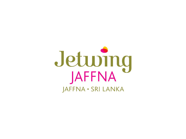# Jetuing JAFFNA · SRI LANKA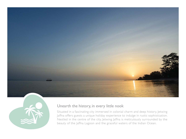



### Unearth the history, in every little nook

Situated in a fascinating city immersed in colonial charm and deep history, Jetwing Jaffna offers guests a unique holiday experience to indulge in rustic sophistication. Nestled in the centre of the city, Jetwing Jaffna is meticulously surrounded by the beauty of the Jaffna Lagoon and the graceful waters of the Indian Ocean.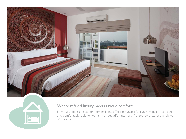



# Where refined luxury meets unique comforts

For your unique satisfaction, Jetwing Jaffna offers its guests fifty-five, high quality, spacious and comfortable deluxe rooms with beautiful interiors, fronted by picturesque views of the city.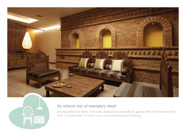



# An eclectic mix of exemplary detail

Jetwing Jaffna has been intricately designed to provide its guests effortless functionality with a combination of rustic aura and contemporary finishing.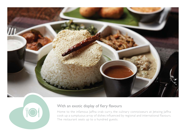



## With an exotic display of fiery flavours

Home to the infamous Jaffna crab curry, the culinary connoisseurs at Jetwing Jaffna cook up a sumptuous array of dishes influenced by regional and international flavours. The restaurant seats up to a hundred guests.